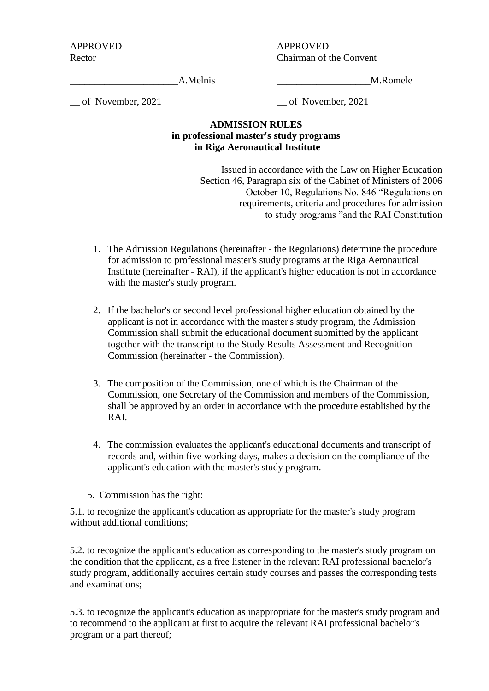APPROVED APPROVED Rector Chairman of the Convent

A.Melnis M.Romele

\_\_ of November, 2021 \_\_ of November, 2021

## **ADMISSION RULES in professional master's study programs in Riga Aeronautical Institute**

Issued in accordance with the Law on Higher Education Section 46, Paragraph six of the Cabinet of Ministers of 2006 October 10, Regulations No. 846 "Regulations on requirements, criteria and procedures for admission to study programs "and the RAI Constitution

- 1. The Admission Regulations (hereinafter the Regulations) determine the procedure for admission to professional master's study programs at the Riga Aeronautical Institute (hereinafter - RAI), if the applicant's higher education is not in accordance with the master's study program.
- 2. If the bachelor's or second level professional higher education obtained by the applicant is not in accordance with the master's study program, the Admission Commission shall submit the educational document submitted by the applicant together with the transcript to the Study Results Assessment and Recognition Commission (hereinafter - the Commission).
- 3. The composition of the Commission, one of which is the Chairman of the Commission, one Secretary of the Commission and members of the Commission, shall be approved by an order in accordance with the procedure established by the RAI.
- 4. The commission evaluates the applicant's educational documents and transcript of records and, within five working days, makes a decision on the compliance of the applicant's education with the master's study program.
- 5. Commission has the right:

5.1. to recognize the applicant's education as appropriate for the master's study program without additional conditions;

5.2. to recognize the applicant's education as corresponding to the master's study program on the condition that the applicant, as a free listener in the relevant RAI professional bachelor's study program, additionally acquires certain study courses and passes the corresponding tests and examinations;

5.3. to recognize the applicant's education as inappropriate for the master's study program and to recommend to the applicant at first to acquire the relevant RAI professional bachelor's program or a part thereof;